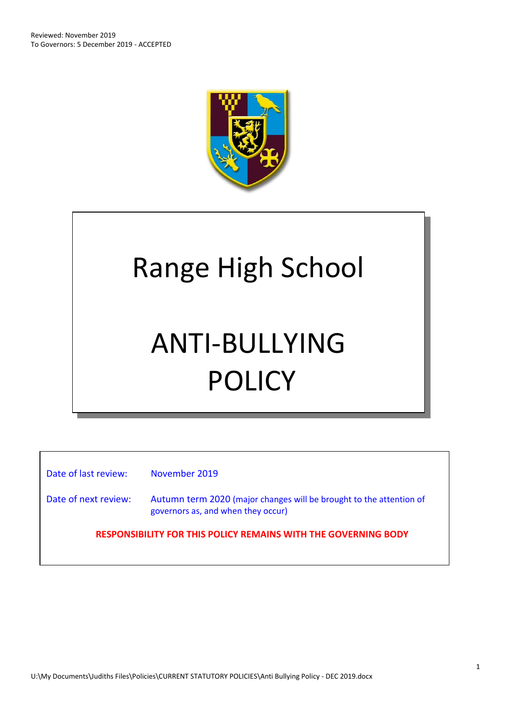

# Range High School

# ANTI-BULLYING POLICY

Date of last review: November 2019

Date of next review: Autumn term 2020 (major changes will be brought to the attention of governors as, and when they occur)

**RESPONSIBILITY FOR THIS POLICY REMAINS WITH THE GOVERNING BODY**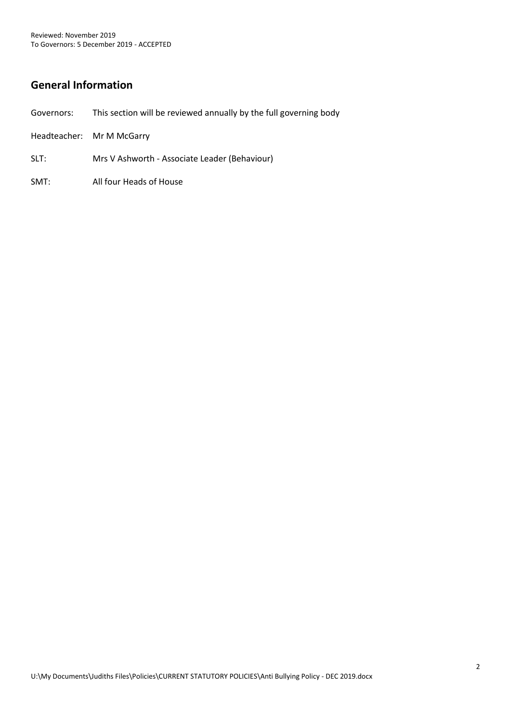# **General Information**

- Governors: This section will be reviewed annually by the full governing body
- Headteacher: Mr M McGarry
- SLT: Mrs V Ashworth Associate Leader (Behaviour)
- SMT: All four Heads of House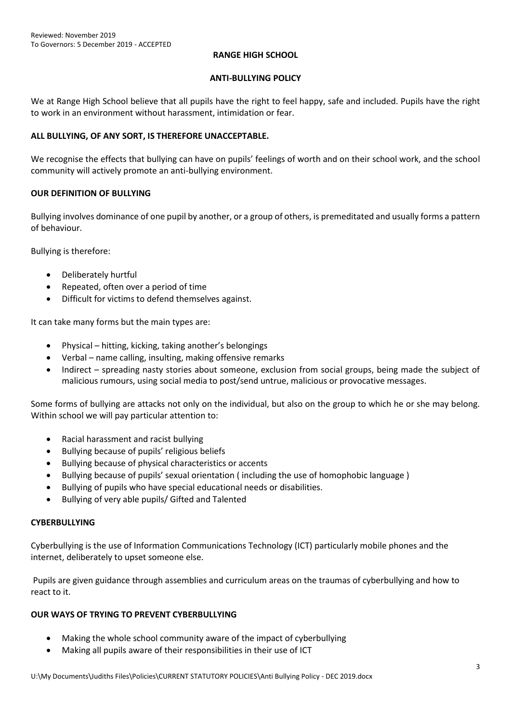#### **RANGE HIGH SCHOOL**

#### **ANTI-BULLYING POLICY**

We at Range High School believe that all pupils have the right to feel happy, safe and included. Pupils have the right to work in an environment without harassment, intimidation or fear.

# **ALL BULLYING, OF ANY SORT, IS THEREFORE UNACCEPTABLE.**

We recognise the effects that bullying can have on pupils' feelings of worth and on their school work, and the school community will actively promote an anti-bullying environment.

# **OUR DEFINITION OF BULLYING**

Bullying involves dominance of one pupil by another, or a group of others, is premeditated and usually forms a pattern of behaviour.

Bullying is therefore:

- Deliberately hurtful
- Repeated, often over a period of time
- Difficult for victims to defend themselves against.

It can take many forms but the main types are:

- Physical hitting, kicking, taking another's belongings
- Verbal name calling, insulting, making offensive remarks
- Indirect spreading nasty stories about someone, exclusion from social groups, being made the subject of malicious rumours, using social media to post/send untrue, malicious or provocative messages.

Some forms of bullying are attacks not only on the individual, but also on the group to which he or she may belong. Within school we will pay particular attention to:

- Racial harassment and racist bullying
- Bullying because of pupils' religious beliefs
- Bullying because of physical characteristics or accents
- Bullying because of pupils' sexual orientation ( including the use of homophobic language )
- Bullying of pupils who have special educational needs or disabilities.
- Bullying of very able pupils/ Gifted and Talented

# **CYBERBULLYING**

Cyberbullying is the use of Information Communications Technology (ICT) particularly mobile phones and the internet, deliberately to upset someone else.

Pupils are given guidance through assemblies and curriculum areas on the traumas of cyberbullying and how to react to it.

# **OUR WAYS OF TRYING TO PREVENT CYBERBULLYING**

- Making the whole school community aware of the impact of cyberbullying
- Making all pupils aware of their responsibilities in their use of ICT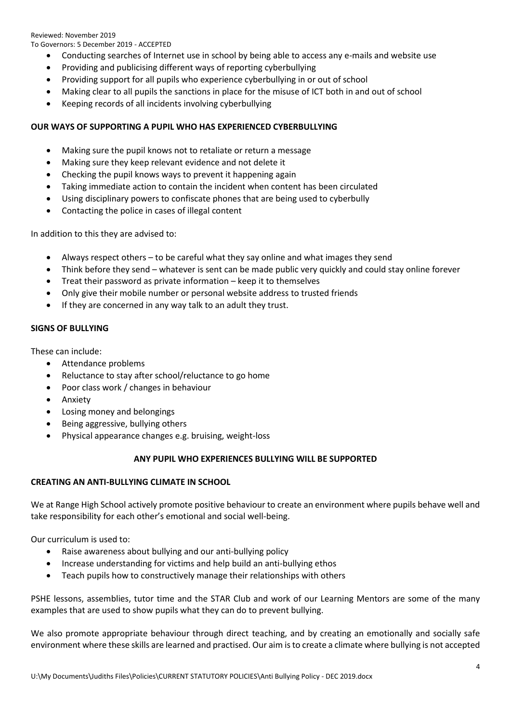Reviewed: November 2019 To Governors: 5 December 2019 - ACCEPTED

- Conducting searches of Internet use in school by being able to access any e-mails and website use
- Providing and publicising different ways of reporting cyberbullying
- Providing support for all pupils who experience cyberbullying in or out of school
- Making clear to all pupils the sanctions in place for the misuse of ICT both in and out of school
- Keeping records of all incidents involving cyberbullying

# **OUR WAYS OF SUPPORTING A PUPIL WHO HAS EXPERIENCED CYBERBULLYING**

- Making sure the pupil knows not to retaliate or return a message
- Making sure they keep relevant evidence and not delete it
- Checking the pupil knows ways to prevent it happening again
- Taking immediate action to contain the incident when content has been circulated
- Using disciplinary powers to confiscate phones that are being used to cyberbully
- Contacting the police in cases of illegal content

In addition to this they are advised to:

- Always respect others to be careful what they say online and what images they send
- Think before they send whatever is sent can be made public very quickly and could stay online forever
- Treat their password as private information keep it to themselves
- Only give their mobile number or personal website address to trusted friends
- If they are concerned in any way talk to an adult they trust.

# **SIGNS OF BULLYING**

These can include:

- Attendance problems
- Reluctance to stay after school/reluctance to go home
- Poor class work / changes in behaviour
- Anxiety
- Losing money and belongings
- Being aggressive, bullying others
- Physical appearance changes e.g. bruising, weight-loss

# **ANY PUPIL WHO EXPERIENCES BULLYING WILL BE SUPPORTED**

# **CREATING AN ANTI-BULLYING CLIMATE IN SCHOOL**

We at Range High School actively promote positive behaviour to create an environment where pupils behave well and take responsibility for each other's emotional and social well-being.

Our curriculum is used to:

- Raise awareness about bullying and our anti-bullying policy
- Increase understanding for victims and help build an anti-bullying ethos
- Teach pupils how to constructively manage their relationships with others

PSHE lessons, assemblies, tutor time and the STAR Club and work of our Learning Mentors are some of the many examples that are used to show pupils what they can do to prevent bullying.

We also promote appropriate behaviour through direct teaching, and by creating an emotionally and socially safe environment where these skills are learned and practised. Our aim is to create a climate where bullying is not accepted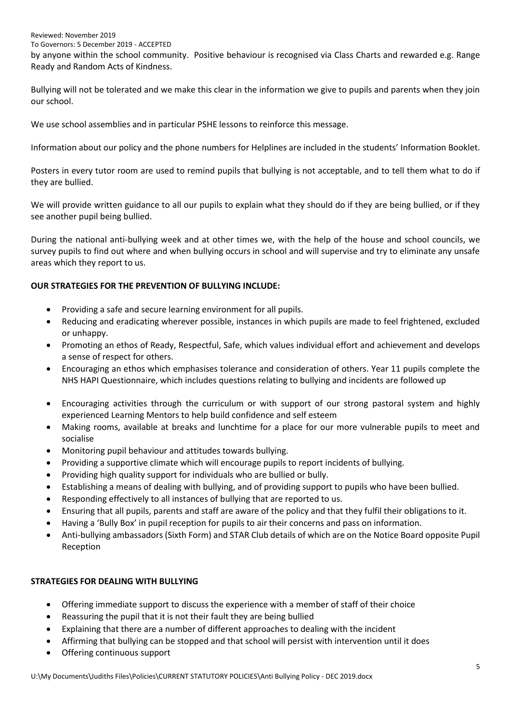#### Reviewed: November 2019

To Governors: 5 December 2019 - ACCEPTED

by anyone within the school community. Positive behaviour is recognised via Class Charts and rewarded e.g. Range Ready and Random Acts of Kindness.

Bullying will not be tolerated and we make this clear in the information we give to pupils and parents when they join our school.

We use school assemblies and in particular PSHE lessons to reinforce this message.

Information about our policy and the phone numbers for Helplines are included in the students' Information Booklet.

Posters in every tutor room are used to remind pupils that bullying is not acceptable, and to tell them what to do if they are bullied.

We will provide written guidance to all our pupils to explain what they should do if they are being bullied, or if they see another pupil being bullied.

During the national anti-bullying week and at other times we, with the help of the house and school councils, we survey pupils to find out where and when bullying occurs in school and will supervise and try to eliminate any unsafe areas which they report to us.

# **OUR STRATEGIES FOR THE PREVENTION OF BULLYING INCLUDE:**

- Providing a safe and secure learning environment for all pupils.
- Reducing and eradicating wherever possible, instances in which pupils are made to feel frightened, excluded or unhappy.
- Promoting an ethos of Ready, Respectful, Safe, which values individual effort and achievement and develops a sense of respect for others.
- Encouraging an ethos which emphasises tolerance and consideration of others. Year 11 pupils complete the NHS HAPI Questionnaire, which includes questions relating to bullying and incidents are followed up
- Encouraging activities through the curriculum or with support of our strong pastoral system and highly experienced Learning Mentors to help build confidence and self esteem
- Making rooms, available at breaks and lunchtime for a place for our more vulnerable pupils to meet and socialise
- Monitoring pupil behaviour and attitudes towards bullying.
- Providing a supportive climate which will encourage pupils to report incidents of bullying.
- Providing high quality support for individuals who are bullied or bully.
- Establishing a means of dealing with bullying, and of providing support to pupils who have been bullied.
- Responding effectively to all instances of bullying that are reported to us.
- Ensuring that all pupils, parents and staff are aware of the policy and that they fulfil their obligations to it.
- Having a 'Bully Box' in pupil reception for pupils to air their concerns and pass on information.
- Anti-bullying ambassadors (Sixth Form) and STAR Club details of which are on the Notice Board opposite Pupil Reception

# **STRATEGIES FOR DEALING WITH BULLYING**

- Offering immediate support to discuss the experience with a member of staff of their choice
- Reassuring the pupil that it is not their fault they are being bullied
- Explaining that there are a number of different approaches to dealing with the incident
- Affirming that bullying can be stopped and that school will persist with intervention until it does
- Offering continuous support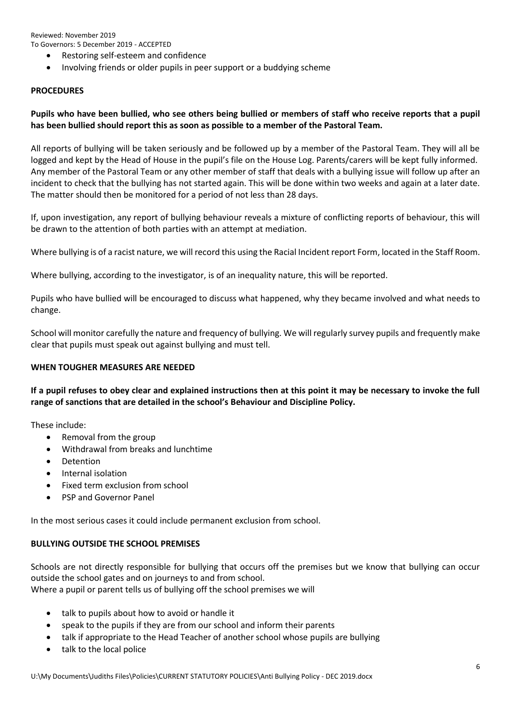Reviewed: November 2019 To Governors: 5 December 2019 - ACCEPTED

- Restoring self-esteem and confidence
- Involving friends or older pupils in peer support or a buddying scheme

#### **PROCEDURES**

# **Pupils who have been bullied, who see others being bullied or members of staff who receive reports that a pupil has been bullied should report this as soon as possible to a member of the Pastoral Team.**

All reports of bullying will be taken seriously and be followed up by a member of the Pastoral Team. They will all be logged and kept by the Head of House in the pupil's file on the House Log. Parents/carers will be kept fully informed. Any member of the Pastoral Team or any other member of staff that deals with a bullying issue will follow up after an incident to check that the bullying has not started again. This will be done within two weeks and again at a later date. The matter should then be monitored for a period of not less than 28 days.

If, upon investigation, any report of bullying behaviour reveals a mixture of conflicting reports of behaviour, this will be drawn to the attention of both parties with an attempt at mediation.

Where bullying is of a racist nature, we will record this using the Racial Incident report Form, located in the Staff Room.

Where bullying, according to the investigator, is of an inequality nature, this will be reported.

Pupils who have bullied will be encouraged to discuss what happened, why they became involved and what needs to change.

School will monitor carefully the nature and frequency of bullying. We will regularly survey pupils and frequently make clear that pupils must speak out against bullying and must tell.

# **WHEN TOUGHER MEASURES ARE NEEDED**

**If a pupil refuses to obey clear and explained instructions then at this point it may be necessary to invoke the full range of sanctions that are detailed in the school's Behaviour and Discipline Policy.**

These include:

- Removal from the group
- Withdrawal from breaks and lunchtime
- Detention
- Internal isolation
- Fixed term exclusion from school
- PSP and Governor Panel

In the most serious cases it could include permanent exclusion from school.

# **BULLYING OUTSIDE THE SCHOOL PREMISES**

Schools are not directly responsible for bullying that occurs off the premises but we know that bullying can occur outside the school gates and on journeys to and from school.

Where a pupil or parent tells us of bullying off the school premises we will

- talk to pupils about how to avoid or handle it
- speak to the pupils if they are from our school and inform their parents
- talk if appropriate to the Head Teacher of another school whose pupils are bullying
- talk to the local police